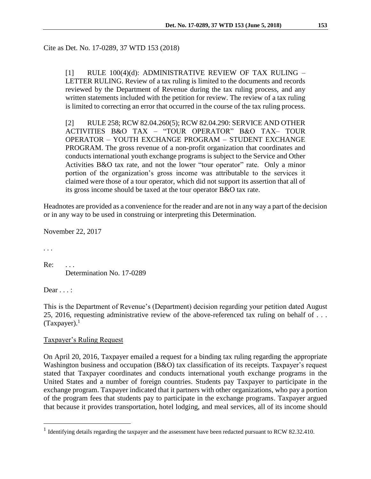[1] RULE 100(4)(d): ADMINISTRATIVE REVIEW OF TAX RULING – LETTER RULING. Review of a tax ruling is limited to the documents and records reviewed by the Department of Revenue during the tax ruling process, and any written statements included with the petition for review. The review of a tax ruling is limited to correcting an error that occurred in the course of the tax ruling process.

[2] RULE 258; RCW 82.04.260(5); RCW 82.04.290: SERVICE AND OTHER ACTIVITIES B&O TAX – "TOUR OPERATOR" B&O TAX– TOUR OPERATOR – YOUTH EXCHANGE PROGRAM – STUDENT EXCHANGE PROGRAM. The gross revenue of a non-profit organization that coordinates and conducts international youth exchange programs is subject to the Service and Other Activities B&O tax rate, and not the lower "tour operator" rate. Only a minor portion of the organization's gross income was attributable to the services it claimed were those of a tour operator, which did not support its assertion that all of its gross income should be taxed at the tour operator B&O tax rate.

Headnotes are provided as a convenience for the reader and are not in any way a part of the decision or in any way to be used in construing or interpreting this Determination.

November 22, 2017

*. . .*

 $\overline{a}$ 

 $Re:$ Determination No. 17-0289

Dear . . . :

This is the Department of Revenue's (Department) decision regarding your petition dated August 25, 2016, requesting administrative review of the above-referenced tax ruling on behalf of . . .  $(Taxpayer).<sup>1</sup>$ 

# Taxpayer's Ruling Request

On April 20, 2016, Taxpayer emailed a request for a binding tax ruling regarding the appropriate Washington business and occupation (B&O) tax classification of its receipts. Taxpayer's request stated that Taxpayer coordinates and conducts international youth exchange programs in the United States and a number of foreign countries. Students pay Taxpayer to participate in the exchange program. Taxpayer indicated that it partners with other organizations, who pay a portion of the program fees that students pay to participate in the exchange programs. Taxpayer argued that because it provides transportation, hotel lodging, and meal services, all of its income should

<sup>&</sup>lt;sup>1</sup> Identifying details regarding the taxpayer and the assessment have been redacted pursuant to RCW 82.32.410.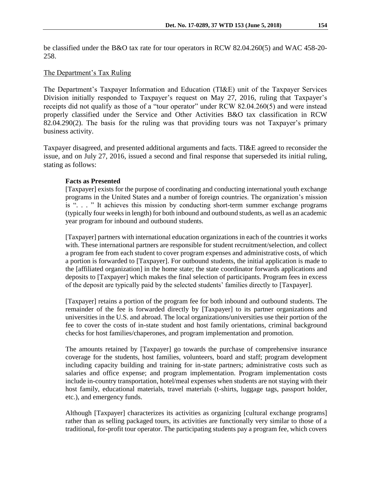be classified under the B&O tax rate for tour operators in RCW 82.04.260(5) and WAC 458-20- 258.

# The Department's Tax Ruling

The Department's Taxpayer Information and Education (TI&E) unit of the Taxpayer Services Division initially responded to Taxpayer's request on May 27, 2016, ruling that Taxpayer's receipts did not qualify as those of a "tour operator" under RCW 82.04.260(5) and were instead properly classified under the Service and Other Activities B&O tax classification in RCW 82.04.290(2). The basis for the ruling was that providing tours was not Taxpayer's primary business activity.

Taxpayer disagreed, and presented additional arguments and facts. TI&E agreed to reconsider the issue, and on July 27, 2016, issued a second and final response that superseded its initial ruling, stating as follows:

## **Facts as Presented**

[Taxpayer] exists for the purpose of coordinating and conducting international youth exchange programs in the United States and a number of foreign countries. The organization's mission is ". . . " It achieves this mission by conducting short-term summer exchange programs (typically four weeks in length) for both inbound and outbound students, as well as an academic year program for inbound and outbound students.

[Taxpayer] partners with international education organizations in each of the countries it works with. These international partners are responsible for student recruitment/selection, and collect a program fee from each student to cover program expenses and administrative costs, of which a portion is forwarded to [Taxpayer]. For outbound students, the initial application is made to the [affiliated organization] in the home state; the state coordinator forwards applications and deposits to [Taxpayer] which makes the final selection of participants. Program fees in excess of the deposit are typically paid by the selected students' families directly to [Taxpayer].

[Taxpayer] retains a portion of the program fee for both inbound and outbound students. The remainder of the fee is forwarded directly by [Taxpayer] to its partner organizations and universities in the U.S. and abroad. The local organizations/universities use their portion of the fee to cover the costs of in-state student and host family orientations, criminal background checks for host families/chaperones, and program implementation and promotion.

The amounts retained by [Taxpayer] go towards the purchase of comprehensive insurance coverage for the students, host families, volunteers, board and staff; program development including capacity building and training for in-state partners; administrative costs such as salaries and office expense; and program implementation. Program implementation costs include in-country transportation, hotel/meal expenses when students are not staying with their host family, educational materials, travel materials (t-shirts, luggage tags, passport holder, etc.), and emergency funds.

Although [Taxpayer] characterizes its activities as organizing [cultural exchange programs] rather than as selling packaged tours, its activities are functionally very similar to those of a traditional, for-profit tour operator. The participating students pay a program fee, which covers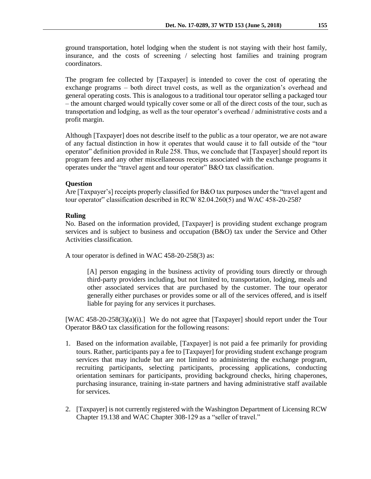ground transportation, hotel lodging when the student is not staying with their host family, insurance, and the costs of screening / selecting host families and training program coordinators.

The program fee collected by [Taxpayer] is intended to cover the cost of operating the exchange programs – both direct travel costs, as well as the organization's overhead and general operating costs. This is analogous to a traditional tour operator selling a packaged tour – the amount charged would typically cover some or all of the direct costs of the tour, such as transportation and lodging, as well as the tour operator's overhead / administrative costs and a profit margin.

Although [Taxpayer] does not describe itself to the public as a tour operator, we are not aware of any factual distinction in how it operates that would cause it to fall outside of the "tour operator" definition provided in Rule 258. Thus, we conclude that [Taxpayer] should report its program fees and any other miscellaneous receipts associated with the exchange programs it operates under the "travel agent and tour operator" B&O tax classification.

### **Question**

Are [Taxpayer's] receipts properly classified for B&O tax purposes under the "travel agent and tour operator" classification described in RCW 82.04.260(5) and WAC 458-20-258?

### **Ruling**

No. Based on the information provided, [Taxpayer] is providing student exchange program services and is subject to business and occupation (B&O) tax under the Service and Other Activities classification.

A tour operator is defined in WAC 458-20-258(3) as:

[A] person engaging in the business activity of providing tours directly or through third-party providers including, but not limited to, transportation, lodging, meals and other associated services that are purchased by the customer. The tour operator generally either purchases or provides some or all of the services offered, and is itself liable for paying for any services it purchases.

[WAC 458-20-258(3)(a)(i).] We do not agree that [Taxpayer] should report under the Tour Operator B&O tax classification for the following reasons:

- 1. Based on the information available, [Taxpayer] is not paid a fee primarily for providing tours. Rather, participants pay a fee to [Taxpayer] for providing student exchange program services that may include but are not limited to administering the exchange program, recruiting participants, selecting participants, processing applications, conducting orientation seminars for participants, providing background checks, hiring chaperones, purchasing insurance, training in-state partners and having administrative staff available for services.
- 2. [Taxpayer] is not currently registered with the Washington Department of Licensing RCW Chapter 19.138 and WAC Chapter 308-129 as a "seller of travel."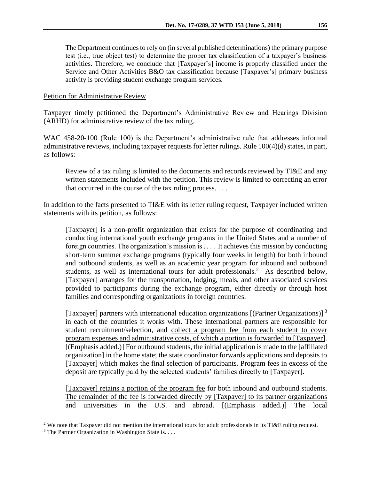The Department continues to rely on (in several published determinations) the primary purpose test (i.e., true object test) to determine the proper tax classification of a taxpayer's business activities. Therefore, we conclude that [Taxpayer's] income is properly classified under the Service and Other Activities B&O tax classification because [Taxpayer's] primary business activity is providing student exchange program services.

## Petition for Administrative Review

Taxpayer timely petitioned the Department's Administrative Review and Hearings Division (ARHD) for administrative review of the tax ruling.

WAC 458-20-100 (Rule 100) is the Department's administrative rule that addresses informal administrative reviews, including taxpayer requests for letter rulings. Rule 100(4)(d) states, in part, as follows:

Review of a tax ruling is limited to the documents and records reviewed by TI&E and any written statements included with the petition. This review is limited to correcting an error that occurred in the course of the tax ruling process. . . .

In addition to the facts presented to TI&E with its letter ruling request, Taxpayer included written statements with its petition, as follows:

[Taxpayer] is a non-profit organization that exists for the purpose of coordinating and conducting international youth exchange programs in the United States and a number of foreign countries. The organization's mission is . . . . It achieves this mission by conducting short-term summer exchange programs (typically four weeks in length) for both inbound and outbound students, as well as an academic year program for inbound and outbound students, as well as international tours for adult professionals.<sup>2</sup> As described below, [Taxpayer] arranges for the transportation, lodging, meals, and other associated services provided to participants during the exchange program, either directly or through host families and corresponding organizations in foreign countries.

[Taxpayer] partners with international education organizations [(Partner Organizations)]<sup>3</sup> in each of the countries it works with. These international partners are responsible for student recruitment/selection, and collect a program fee from each student to cover program expenses and administrative costs, of which a portion is forwarded to [Taxpayer]. [(Emphasis added.)] For outbound students, the initial application is made to the [affiliated organization] in the home state; the state coordinator forwards applications and deposits to [Taxpayer] which makes the final selection of participants. Program fees in excess of the deposit are typically paid by the selected students' families directly to [Taxpayer].

[Taxpayer] retains a portion of the program fee for both inbound and outbound students. The remainder of the fee is forwarded directly by [Taxpayer] to its partner organizations and universities in the U.S. and abroad. [(Emphasis added.)] The local

 $\overline{a}$ 

<sup>&</sup>lt;sup>2</sup> We note that Taxpayer did not mention the international tours for adult professionals in its TI&E ruling request.

<sup>&</sup>lt;sup>3</sup> The Partner Organization in Washington State is. . . .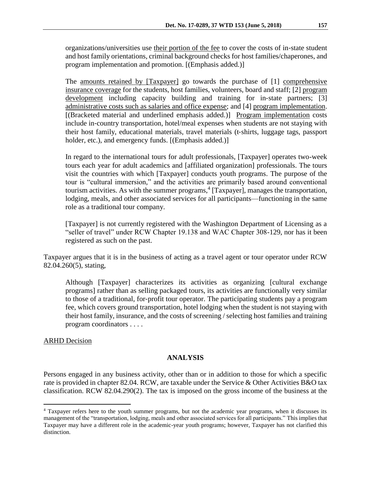organizations/universities use their portion of the fee to cover the costs of in‐state student and host family orientations, criminal background checks for host families/chaperones, and program implementation and promotion. [(Emphasis added.)]

The amounts retained by [Taxpayer] go towards the purchase of [1] comprehensive insurance coverage for the students, host families, volunteers, board and staff; [2] program development including capacity building and training for in‐state partners; [3] administrative costs such as salaries and office expense; and [4] program implementation. [(Bracketed material and underlined emphasis added.)] Program implementation costs include in-country transportation, hotel/meal expenses when students are not staying with their host family, educational materials, travel materials (t‐shirts, luggage tags, passport holder, etc.), and emergency funds. [(Emphasis added.)]

In regard to the international tours for adult professionals, [Taxpayer] operates two-week tours each year for adult academics and [affiliated organization] professionals. The tours visit the countries with which [Taxpayer] conducts youth programs. The purpose of the tour is "cultural immersion," and the activities are primarily based around conventional tourism activities. As with the summer programs,<sup>4</sup> [Taxpayer], manages the transportation, lodging, meals, and other associated services for all participants—functioning in the same role as a traditional tour company.

[Taxpayer] is not currently registered with the Washington Department of Licensing as a "seller of travel" under RCW Chapter 19.138 and WAC Chapter 308-129, nor has it been registered as such on the past.

Taxpayer argues that it is in the business of acting as a travel agent or tour operator under RCW 82.04.260(5), stating,

Although [Taxpayer] characterizes its activities as organizing [cultural exchange programs] rather than as selling packaged tours, its activities are functionally very similar to those of a traditional, for‐profit tour operator. The participating students pay a program fee, which covers ground transportation, hotel lodging when the student is not staying with their host family, insurance, and the costs of screening / selecting host families and training program coordinators . . . .

#### ARHD Decision

 $\overline{a}$ 

#### **ANALYSIS**

Persons engaged in any business activity, other than or in addition to those for which a specific rate is provided in chapter 82.04. RCW, are taxable under the Service & Other Activities B&O tax classification. RCW 82.04.290(2). The tax is imposed on the gross income of the business at the

<sup>4</sup> Taxpayer refers here to the youth summer programs, but not the academic year programs, when it discusses its management of the "transportation, lodging, meals and other associated services for all participants." This implies that Taxpayer may have a different role in the academic-year youth programs; however, Taxpayer has not clarified this distinction.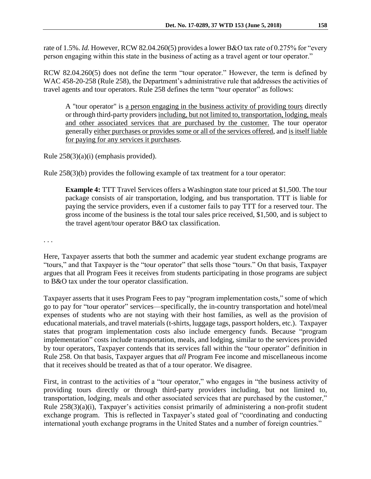rate of 1.5%. *Id.* However, RCW 82.04.260(5) provides a lower B&O tax rate of 0.275% for "every person engaging within this state in the business of acting as a travel agent or tour operator."

RCW 82.04.260(5) does not define the term "tour operator." However, the term is defined by WAC 458-20-258 (Rule 258), the Department's administrative rule that addresses the activities of travel agents and tour operators. Rule 258 defines the term "tour operator" as follows:

A "tour operator" is a person engaging in the business activity of providing tours directly or through third-party providers including, but not limited to, transportation, lodging, meals and other associated services that are purchased by the customer. The tour operator generally either purchases or provides some or all of the services offered, and is itself liable for paying for any services it purchases.

Rule 258(3)(a)(i) (emphasis provided).

Rule 258(3)(b) provides the following example of tax treatment for a tour operator:

**Example 4:** TTT Travel Services offers a Washington state tour priced at \$1,500. The tour package consists of air transportation, lodging, and bus transportation. TTT is liable for paying the service providers, even if a customer fails to pay TTT for a reserved tour. The gross income of the business is the total tour sales price received, \$1,500, and is subject to the travel agent/tour operator B&O tax classification.

. . .

Here, Taxpayer asserts that both the summer and academic year student exchange programs are "tours," and that Taxpayer is the "tour operator" that sells those "tours." On that basis, Taxpayer argues that all Program Fees it receives from students participating in those programs are subject to B&O tax under the tour operator classification.

Taxpayer asserts that it uses Program Fees to pay "program implementation costs," some of which go to pay for "tour operator" services—specifically, the in-country transportation and hotel/meal expenses of students who are not staying with their host families, as well as the provision of educational materials, and travel materials (t-shirts, luggage tags, passport holders, etc.). Taxpayer states that program implementation costs also include emergency funds. Because "program implementation" costs include transportation, meals, and lodging, similar to the services provided by tour operators, Taxpayer contends that its services fall within the "tour operator" definition in Rule 258. On that basis, Taxpayer argues that *all* Program Fee income and miscellaneous income that it receives should be treated as that of a tour operator. We disagree.

First, in contrast to the activities of a "tour operator," who engages in "the business activity of providing tours directly or through third-party providers including, but not limited to, transportation, lodging, meals and other associated services that are purchased by the customer," Rule 258(3)(a)(i), Taxpayer's activities consist primarily of administering a non-profit student exchange program. This is reflected in Taxpayer's stated goal of "coordinating and conducting international youth exchange programs in the United States and a number of foreign countries."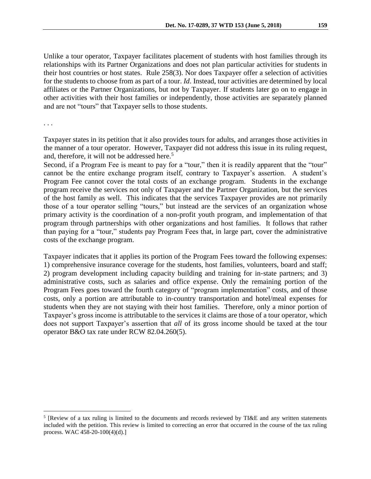Unlike a tour operator, Taxpayer facilitates placement of students with host families through its relationships with its Partner Organizations and does not plan particular activities for students in their host countries or host states. Rule 258(3). Nor does Taxpayer offer a selection of activities for the students to choose from as part of a tour. *Id*. Instead, tour activities are determined by local affiliates or the Partner Organizations, but not by Taxpayer. If students later go on to engage in other activities with their host families or independently, those activities are separately planned and are not "tours" that Taxpayer sells to those students.

. . .

 $\overline{a}$ 

Taxpayer states in its petition that it also provides tours for adults, and arranges those activities in the manner of a tour operator. However, Taxpayer did not address this issue in its ruling request, and, therefore, it will not be addressed here.<sup>5</sup>

Second, if a Program Fee is meant to pay for a "tour," then it is readily apparent that the "tour" cannot be the entire exchange program itself, contrary to Taxpayer's assertion. A student's Program Fee cannot cover the total costs of an exchange program. Students in the exchange program receive the services not only of Taxpayer and the Partner Organization, but the services of the host family as well. This indicates that the services Taxpayer provides are not primarily those of a tour operator selling "tours," but instead are the services of an organization whose primary activity is the coordination of a non-profit youth program, and implementation of that program through partnerships with other organizations and host families. It follows that rather than paying for a "tour," students pay Program Fees that, in large part, cover the administrative costs of the exchange program.

Taxpayer indicates that it applies its portion of the Program Fees toward the following expenses: 1) comprehensive insurance coverage for the students, host families, volunteers, board and staff; 2) program development including capacity building and training for in-state partners; and 3) administrative costs, such as salaries and office expense. Only the remaining portion of the Program Fees goes toward the fourth category of "program implementation" costs, and of those costs, only a portion are attributable to in‐country transportation and hotel/meal expenses for students when they are not staying with their host families. Therefore, only a minor portion of Taxpayer's gross income is attributable to the services it claims are those of a tour operator, which does not support Taxpayer's assertion that *all* of its gross income should be taxed at the tour operator B&O tax rate under RCW 82.04.260(5).

<sup>&</sup>lt;sup>5</sup> [Review of a tax ruling is limited to the documents and records reviewed by TI&E and any written statements included with the petition. This review is limited to correcting an error that occurred in the course of the tax ruling process. WAC 458-20-100(4)(d).]